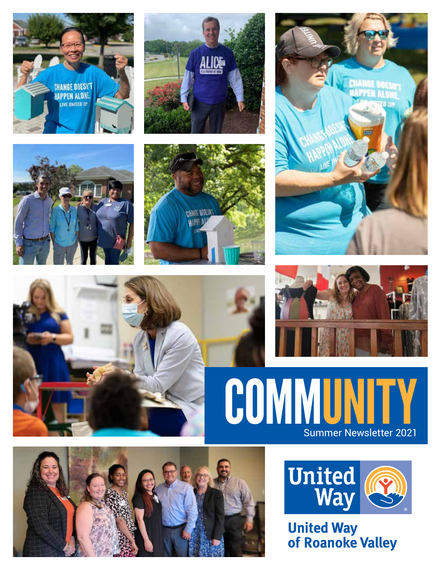



















**United Way<br>of Roanoke Valley**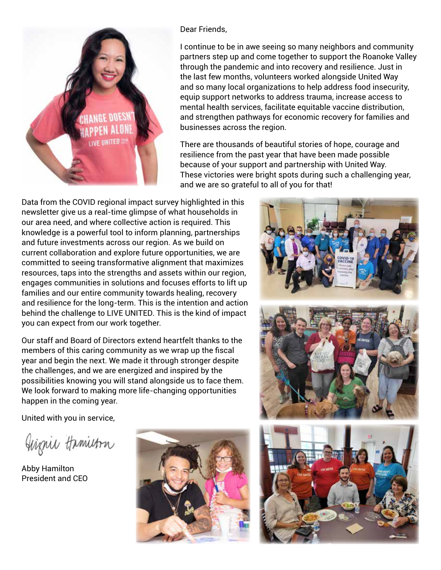

Dear Friends,

I continue to be in awe seeing so many neighbors and community partners step up and come together to support the Roanoke Valley through the pandemic and into recovery and resilience. Just in the last few months, volunteers worked alongside United Way and so many local organizations to help address food insecurity, equip support networks to address trauma, increase access to mental health services, facilitate equitable vaccine distribution, and strengthen pathways for economic recovery for families and businesses across the region.

There are thousands of beautiful stories of hope, courage and resilience from the past year that have been made possible because of your support and partnership with United Way. These victories were bright spots during such a challenging year, and we are so grateful to all of you for that!

Data from the COVID regional impact survey highlighted in this newsletter give us a real-time glimpse of what households in our area need, and where collective action is required. This knowledge is a powerful tool to inform planning, partnerships and future investments across our region. As we build on current collaboration and explore future opportunities, we are committed to seeing transformative alignment that maximizes resources, taps into the strengths and assets within our region, engages communities in solutions and focuses efforts to lift up families and our entire community towards healing, recovery and resilience for the long-term. This is the intention and action behind the challenge to LIVE UNITED. This is the kind of impact you can expect from our work together.

Our staff and Board of Directors extend heartfelt thanks to the members of this caring community as we wrap up the fiscal year and begin the next. We made it through stronger despite the challenges, and we are energized and inspired by the possibilities knowing you will stand alongside us to face them. We look forward to making more life-changing opportunities happen in the coming year.

United with you in service,

Giznie Hamietra

Abby Hamilton President and CEO



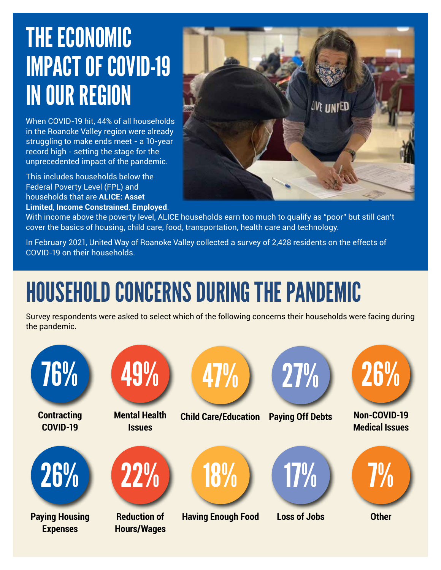## THE ECONOMIC IMPACT OF COVID-19 IN OUR REGION

When COVID-19 hit, 44% of all households in the Roanoke Valley region were already struggling to make ends meet - a 10-year record high - setting the stage for the unprecedented impact of the pandemic.

This includes households below the Federal Poverty Level (FPL) and households that are **ALICE: Asset Limited**, **Income Constrained**, **Employed**.



With income above the poverty level, ALICE households earn too much to qualify as "poor" but still can't cover the basics of housing, child care, food, transportation, health care and technology.

In February 2021, United Way of Roanoke Valley collected a survey of 2,428 residents on the effects of COVID-19 on their households.

# HOUSEHOLD CONCERNS DURING THE PANDEMIC

Survey respondents were asked to select which of the following concerns their households were facing during the pandemic.

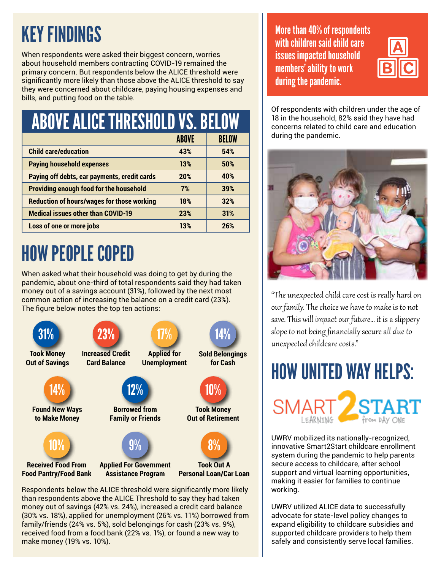## KEY FINDINGS

When respondents were asked their biggest concern, worries about household members contracting COVID-19 remained the primary concern. But respondents below the ALICE threshold were significantly more likely than those above the ALICE threshold to say they were concerned about childcare, paying housing expenses and bills, and putting food on the table.

| <b>ABOVE ALICE THRESHOLD VS. BELOW</b>            |              |              |  |
|---------------------------------------------------|--------------|--------------|--|
|                                                   | <b>ABOVE</b> | <b>BELOW</b> |  |
| <b>Child care/education</b>                       | 43%          | 54%          |  |
| <b>Paying household expenses</b>                  | 13%          | 50%          |  |
| Paying off debts, car payments, credit cards      | 20%          | 40%          |  |
| <b>Providing enough food for the household</b>    | 7%           | 39%          |  |
| <b>Reduction of hours/wages for those working</b> | 18%          | 32%          |  |
| <b>Medical issues other than COVID-19</b>         | 23%          | 31%          |  |
| Loss of one or more jobs                          | 13%          | 26%          |  |

#### HOW PEOPLE COPED

When asked what their household was doing to get by during the pandemic, about one-third of total respondents said they had taken money out of a savings account (31%), followed by the next most common action of increasing the balance on a credit card (23%). The figure below notes the top ten actions: e<br>S



Respondents below the ALICE threshold were significantly more likely than respondents above the ALICE Threshold to say they had taken money out of savings (42% vs. 24%), increased a credit card balance (30% vs. 18%), applied for unemployment (26% vs. 11%) borrowed from family/friends (24% vs. 5%), sold belongings for cash (23% vs. 9%), received food from a food bank (22% vs. 1%), or found a new way to make money (19% vs. 10%).

More than 40% of respondents with children said child care issues impacted household members' ability to work during the pandemic.



Of respondents with children under the age of 18 in the household, 82% said they have had concerns related to child care and education during the pandemic.



"The unexpected child care cost is really hard on our family. The choice we have to make is to not save. This will impact our future… it is a slippery slope to not being financially secure all due to unexpected childcare costs."



**SMA** 

UWRV mobilized its nationally-recognized, innovative Smart2Start childcare enrollment system during the pandemic to help parents secure access to childcare, after school support and virtual learning opportunities, making it easier for families to continue working.

UWRV utilized ALICE data to successfully advocate for state-level policy changes to expand eligibility to childcare subsidies and supported childcare providers to help them safely and consistently serve local families.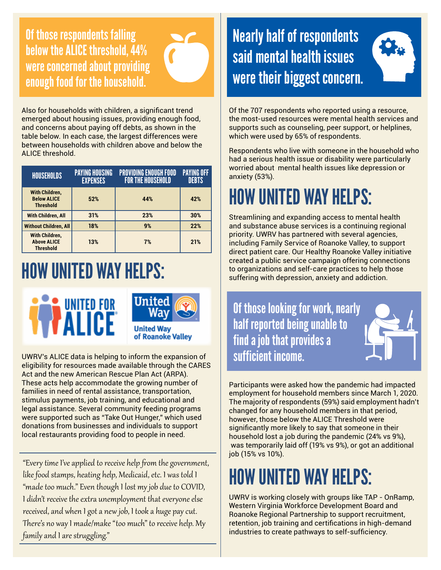Of those respondents falling below the ALICE threshold, 44% were concerned about providing enough food for the household.



Also for households with children, a significant trend emerged about housing issues, providing enough food, and concerns about paying off debts, as shown in the table below. In each case, the largest differences were between households with children above and below the ALICE threshold.

| <b>HOUSEHOLDS</b>                                        | <b>PAYING HOUSING</b><br><b>EXPENSES</b> | <b>PROVIDING ENOUGH FOOD</b><br><b>FOR THE HOUSEHOLD</b> | <b>PAYING OFF</b><br><b>DEBTS</b> |
|----------------------------------------------------------|------------------------------------------|----------------------------------------------------------|-----------------------------------|
| With Children,<br><b>Below ALICE</b><br><b>Threshold</b> | 52%                                      | 44%                                                      | 42%                               |
| <b>With Children, All</b>                                | 31%                                      | 23%                                                      | 30%                               |
| <b>Without Children, All</b>                             | 18%                                      | 9%                                                       | 22%                               |
| With Children.<br><b>Above ALICE</b><br><b>Threshold</b> | 13%                                      | 7%                                                       | 21%                               |

#### HOW UNITED WAY HELPS:





of Roanoke Valley

UWRV's ALICE data is helping to inform the expansion of eligibility for resources made available through the CARES Act and the new American Rescue Plan Act (ARPA). These acts help accommodate the growing number of families in need of rental assistance, transportation, stimulus payments, job training, and educational and legal assistance. Several community feeding programs were supported such as "Take Out Hunger," which used donations from businesses and individuals to support local restaurants providing food to people in need.

"Every time I've applied to receive help from the government, like food stamps, heating help, Medicaid, etc. I was told I "made too much." Even though I lost my job due to COVID, I didn't receive the extra unemployment that everyone else received, and when I got a new job, I took a huge pay cut. There's no way I made/make "too much" to receive help. My family and I are struggling."

#### Nearly half of respondents said mental health issues were their biggest concern.



Of the 707 respondents who reported using a resource, the most-used resources were mental health services and supports such as counseling, peer support, or helplines, which were used by 65% of respondents.

Respondents who live with someone in the household who had a serious health issue or disability were particularly worried about mental health issues like depression or anxiety (53%).

#### HOW UNITED WAY HELPS:

Streamlining and expanding access to mental health and substance abuse services is a continuing regional priority. UWRV has partnered with several agencies, including Family Service of Roanoke Valley, to support direct patient care. Our Healthy Roanoke Valley initiative created a public service campaign offering connections to organizations and self-care practices to help those suffering with depression, anxiety and addiction.

Of those looking for work, nearly half reported being unable to find a job that provides a sufficient income.

Participants were asked how the pandemic had impacted employment for household members since March 1, 2020. The majority of respondents (59%) said employment hadn't changed for any household members in that period, however, those below the ALICE Threshold were significantly more likely to say that someone in their household lost a job during the pandemic (24% vs 9%), was temporarily laid off (19% vs 9%), or got an additional job (15% vs 10%).

#### HOW UNITED WAY HELPS:

UWRV is working closely with groups like TAP - OnRamp, Western Virginia Workforce Development Board and Roanoke Regional Partnership to support recruitment, retention, job training and certifications in high-demand industries to create pathways to self-sufficiency.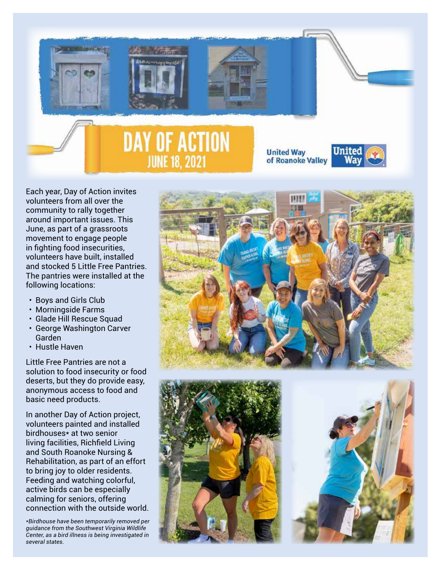

Each year, Day of Action invites volunteers from all over the community to rally together around important issues. This June, as part of a grassroots movement to engage people in fighting food insecurities, volunteers have built, installed and stocked 5 Little Free Pantries. The pantries were installed at the following locations:

- Boys and Girls Club
- Morningside Farms
- Glade Hill Rescue Squad
- George Washington Carver Garden
- Hustle Haven

Little Free Pantries are not a solution to food insecurity or food deserts, but they do provide easy, anonymous access to food and basic need products.

In another Day of Action project, volunteers painted and installed birdhouses\* at two senior living facilities, Richfield Living and South Roanoke Nursing & Rehabilitation, as part of an effort to bring joy to older residents. Feeding and watching colorful, active birds can be especially calming for seniors, offering connection with the outside world.

*\*Birdhouse have been temporarily removed per guidance from the Southwest Virginia Wildlife Center, as a bird illness is being investigated in several states.*





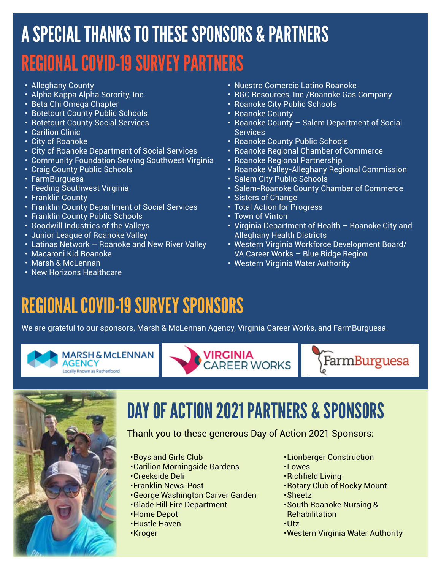## A SPECIAL THANKS TO THESE SPONSORS & PARTNERS REGIONAL COVID-19 SURVEY PARTNERS

- Alleghany County
- Alpha Kappa Alpha Sorority, Inc.
- Beta Chi Omega Chapter
- Botetourt County Public Schools
- Botetourt County Social Services
- Carilion Clinic
- City of Roanoke
- City of Roanoke Department of Social Services
- Community Foundation Serving Southwest Virginia
- Craig County Public Schools
- FarmBurguesa
- Feeding Southwest Virginia
- Franklin County
- Franklin County Department of Social Services
- Franklin County Public Schools
- Goodwill Industries of the Valleys
- Junior League of Roanoke Valley
- Latinas Network Roanoke and New River Valley
- Macaroni Kid Roanoke
- Marsh & McLennan
- New Horizons Healthcare
- Nuestro Comercio Latino Roanoke
- RGC Resources, Inc./Roanoke Gas Company
- Roanoke City Public Schools
- Roanoke County
- Roanoke County Salem Department of Social **Services**
- Roanoke County Public Schools
- Roanoke Regional Chamber of Commerce
- Roanoke Regional Partnership
- Roanoke Valley-Alleghany Regional Commission
- Salem City Public Schools
- Salem-Roanoke County Chamber of Commerce
- Sisters of Change
- Total Action for Progress
- Town of Vinton
- Virginia Department of Health Roanoke City and Alleghany Health Districts
- Western Virginia Workforce Development Board/ VA Career Works – Blue Ridge Region
- Western Virginia Water Authority

#### REGIONAL COVID-19 SURVEY SPONSORS

We are grateful to our sponsors, Marsh & McLennan Agency, Virginia Career Works, and FarmBurguesa.











#### DAY OF ACTION 2021 PARTNERS & SPONSORS

#### Thank you to these generous Day of Action 2021 Sponsors:

- •Boys and Girls Club
- •Carilion Morningside Gardens
- •Creekside Deli
- •Franklin News-Post
- •George Washington Carver Garden
- •Glade Hill Fire Department
- •Home Depot
- •Hustle Haven
- •Kroger
- •Lionberger Construction
- •Lowes
- •Richfield Living
- •Rotary Club of Rocky Mount
- •Sheetz
- •South Roanoke Nursing & **Rehabilitation**
- •Utz
- •Western Virginia Water Authority